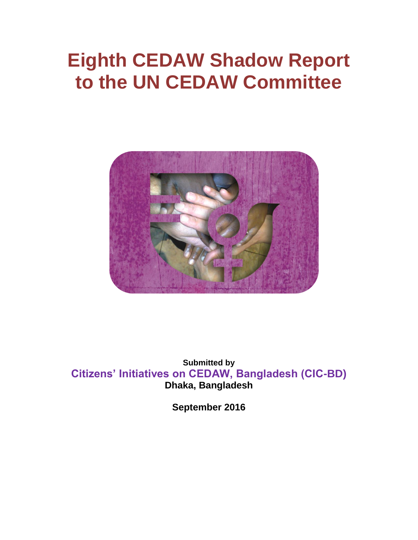# **Eighth CEDAW Shadow Report to the UN CEDAW Committee**



**Submitted by Citizens' Initiatives on CEDAW, Bangladesh (CIC-BD) Dhaka, Bangladesh**

**September 2016**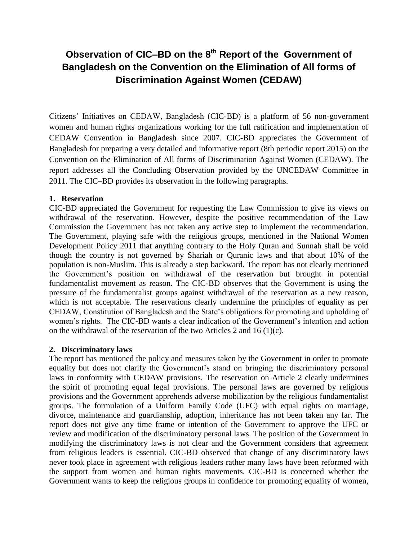# **Observation of CIC–BD on the 8th Report of the Government of Bangladesh on the Convention on the Elimination of All forms of Discrimination Against Women (CEDAW)**

Citizens' Initiatives on CEDAW, Bangladesh (CIC-BD) is a platform of 56 non-government women and human rights organizations working for the full ratification and implementation of CEDAW Convention in Bangladesh since 2007. CIC-BD appreciates the Government of Bangladesh for preparing a very detailed and informative report (8th periodic report 2015) on the Convention on the Elimination of All forms of Discrimination Against Women (CEDAW). The report addresses all the Concluding Observation provided by the UNCEDAW Committee in 2011. The CIC–BD provides its observation in the following paragraphs.

#### **1. Reservation**

CIC-BD appreciated the Government for requesting the Law Commission to give its views on withdrawal of the reservation. However, despite the positive recommendation of the Law Commission the Government has not taken any active step to implement the recommendation. The Government, playing safe with the religious groups, mentioned in the National Women Development Policy 2011 that anything contrary to the Holy Quran and Sunnah shall be void though the country is not governed by Shariah or Quranic laws and that about 10% of the population is non-Muslim. This is already a step backward. The report has not clearly mentioned the Government's position on withdrawal of the reservation but brought in potential fundamentalist movement as reason. The CIC-BD observes that the Government is using the pressure of the fundamentalist groups against withdrawal of the reservation as a new reason, which is not acceptable. The reservations clearly undermine the principles of equality as per CEDAW, Constitution of Bangladesh and the State's obligations for promoting and upholding of women's rights. The CIC-BD wants a clear indication of the Government's intention and action on the withdrawal of the reservation of the two Articles 2 and 16 (1)(c).

#### **2. Discriminatory laws**

The report has mentioned the policy and measures taken by the Government in order to promote equality but does not clarify the Government's stand on bringing the discriminatory personal laws in conformity with CEDAW provisions. The reservation on Article 2 clearly undermines the spirit of promoting equal legal provisions. The personal laws are governed by religious provisions and the Government apprehends adverse mobilization by the religious fundamentalist groups. The formulation of a Uniform Family Code (UFC) with equal rights on marriage, divorce, maintenance and guardianship, adoption, inheritance has not been taken any far. The report does not give any time frame or intention of the Government to approve the UFC or review and modification of the discriminatory personal laws. The position of the Government in modifying the discriminatory laws is not clear and the Government considers that agreement from religious leaders is essential. CIC-BD observed that change of any discriminatory laws never took place in agreement with religious leaders rather many laws have been reformed with the support from women and human rights movements. CIC-BD is concerned whether the Government wants to keep the religious groups in confidence for promoting equality of women,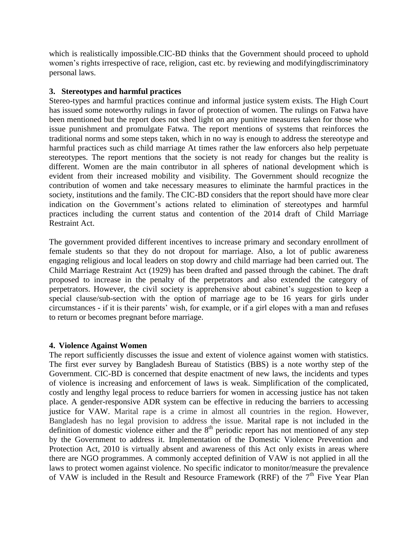which is realistically impossible.CIC-BD thinks that the Government should proceed to uphold women's rights irrespective of race, religion, cast etc. by reviewing and modifyingdiscriminatory personal laws.

#### **3. Stereotypes and harmful practices**

Stereo-types and harmful practices continue and informal justice system exists. The High Court has issued some noteworthy rulings in favor of protection of women. The rulings on Fatwa have been mentioned but the report does not shed light on any punitive measures taken for those who issue punishment and promulgate Fatwa. The report mentions of systems that reinforces the traditional norms and some steps taken, which in no way is enough to address the stereotype and harmful practices such as child marriage At times rather the law enforcers also help perpetuate stereotypes. The report mentions that the society is not ready for changes but the reality is different. Women are the main contributor in all spheres of national development which is evident from their increased mobility and visibility. The Government should recognize the contribution of women and take necessary measures to eliminate the harmful practices in the society, institutions and the family. The CIC-BD considers that the report should have more clear indication on the Government's actions related to elimination of stereotypes and harmful practices including the current status and contention of the 2014 draft of Child Marriage Restraint Act.

The government provided different incentives to increase primary and secondary enrollment of female students so that they do not dropout for marriage. Also, a lot of public awareness engaging religious and local leaders on stop dowry and child marriage had been carried out. The Child Marriage Restraint Act (1929) has been drafted and passed through the cabinet. The draft proposed to increase in the penalty of the perpetrators and also extended the category of perpetrators. However, the civil society is apprehensive about cabinet's suggestion to keep a special clause/sub-section with the option of marriage age to be 16 years for girls under circumstances - if it is their parents' wish, for example, or if a girl elopes with a man and refuses to return or becomes pregnant before marriage.

#### **4. Violence Against Women**

The report sufficiently discusses the issue and extent of violence against women with statistics. The first ever survey by Bangladesh Bureau of Statistics (BBS) is a note worthy step of the Government. CIC-BD is concerned that despite enactment of new laws, the incidents and types of violence is increasing and enforcement of laws is weak. Simplification of the complicated, costly and lengthy legal process to reduce barriers for women in accessing justice has not taken place. A gender-responsive ADR system can be effective in reducing the barriers to accessing justice for VAW. Marital rape is a crime in almost all countries in the region. However, Bangladesh has no legal provision to address the issue. Marital rape is not included in the definition of domestic violence either and the  $8<sup>th</sup>$  periodic report has not mentioned of any step by the Government to address it. Implementation of the Domestic Violence Prevention and Protection Act, 2010 is virtually absent and awareness of this Act only exists in areas where there are NGO programmes. A commonly accepted definition of VAW is not applied in all the laws to protect women against violence. No specific indicator to monitor/measure the prevalence of VAW is included in the Result and Resource Framework (RRF) of the  $7<sup>th</sup>$  Five Year Plan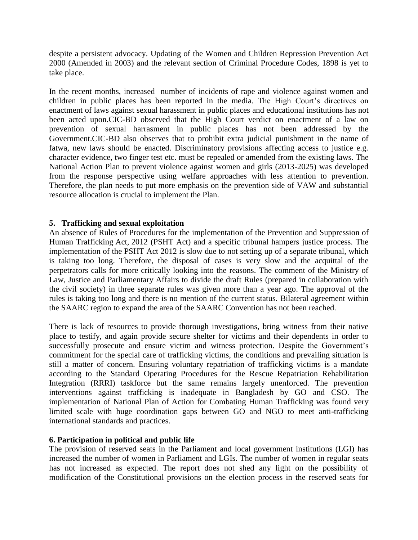despite a persistent advocacy. Updating of the Women and Children Repression Prevention Act 2000 (Amended in 2003) and the relevant section of Criminal Procedure Codes, 1898 is yet to take place.

In the recent months, increased number of incidents of rape and violence against women and children in public places has been reported in the media. The High Court's directives on enactment of laws against sexual harassment in public places and educational institutions has not been acted upon.CIC-BD observed that the High Court verdict on enactment of a law on prevention of sexual harrasment in public places has not been addressed by the Government.CIC-BD also observes that to prohibit extra judicial punishment in the name of fatwa, new laws should be enacted. Discriminatory provisions affecting access to justice e.g. character evidence, two finger test etc. must be repealed or amended from the existing laws. The National Action Plan to prevent violence against women and girls (2013-2025) was developed from the response perspective using welfare approaches with less attention to prevention. Therefore, the plan needs to put more emphasis on the prevention side of VAW and substantial resource allocation is crucial to implement the Plan.

#### **5. Trafficking and sexual exploitation**

An absence of Rules of Procedures for the implementation of the Prevention and Suppression of Human Trafficking Act*,* 2012 (PSHT Act) and a specific tribunal hampers justice process. The implementation of the PSHT Act 2012 is slow due to not setting up of a separate tribunal, which is taking too long. Therefore, the disposal of cases is very slow and the acquittal of the perpetrators calls for more critically looking into the reasons. The comment of the Ministry of Law, Justice and Parliamentary Affairs to divide the draft Rules (prepared in collaboration with the civil society) in three separate rules was given more than a year ago. The approval of the rules is taking too long and there is no mention of the current status. Bilateral agreement within the SAARC region to expand the area of the SAARC Convention has not been reached.

There is lack of resources to provide thorough investigations, bring witness from their native place to testify, and again provide secure shelter for victims and their dependents in order to successfully prosecute and ensure victim and witness protection. Despite the Government's commitment for the special care of trafficking victims, the conditions and prevailing situation is still a matter of concern. Ensuring voluntary repatriation of trafficking victims is a mandate according to the Standard Operating Procedures for the Rescue Repatriation Rehabilitation Integration (RRRI) taskforce but the same remains largely unenforced. The prevention interventions against trafficking is inadequate in Bangladesh by GO and CSO. The implementation of National Plan of Action for Combating Human Trafficking was found very limited scale with huge coordination gaps between GO and NGO to meet anti-trafficking international standards and practices.

#### **6. Participation in political and public life**

The provision of reserved seats in the Parliament and local government institutions (LGI) has increased the number of women in Parliament and LGIs. The number of women in regular seats has not increased as expected. The report does not shed any light on the possibility of modification of the Constitutional provisions on the election process in the reserved seats for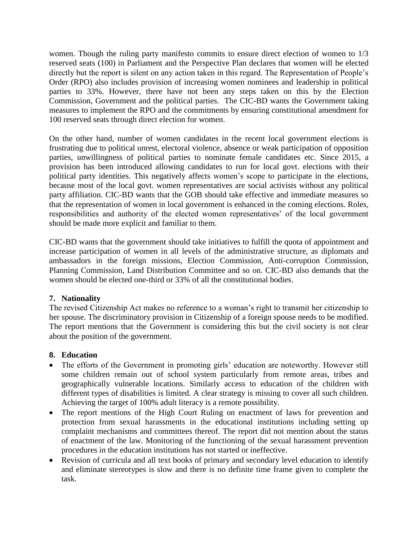women. Though the ruling party manifesto commits to ensure direct election of women to 1/3 reserved seats (100) in Parliament and the Perspective Plan declares that women will be elected directly but the report is silent on any action taken in this regard. The Representation of People's Order (RPO) also includes provision of increasing women nominees and leadership in political parties to 33%. However, there have not been any steps taken on this by the Election Commission, Government and the political parties. The CIC-BD wants the Government taking measures to implement the RPO and the commitments by ensuring constitutional amendment for 100 reserved seats through direct election for women.

On the other hand, number of women candidates in the recent local government elections is frustrating due to political unrest, electoral violence, absence or weak participation of opposition parties, unwillingness of political parties to nominate female candidates etc. Since 2015, a provision has been introduced allowing candidates to run for local govt. elections with their political party identities. This negatively affects women's scope to participate in the elections, because most of the local govt. women representatives are social activists without any political party affiliation. CIC-BD wants that the GOB should take effective and immediate measures so that the representation of women in local government is enhanced in the coming elections. Roles, responsibilities and authority of the elected women representatives' of the local government should be made more explicit and familiar to them.

CIC-BD wants that the government should take initiatives to fulfill the quota of appointment and increase participation of women in all levels of the administrative structure, as diplomats and ambassadors in the foreign missions, Election Commission, Anti-corruption Commission, Planning Commission, Land Distribution Committee and so on. CIC-BD also demands that the women should be elected one-third or 33% of all the constitutional bodies.

## **7. Nationality**

The revised Citizenship Act makes no reference to a woman's right to transmit her citizenship to her spouse. The discriminatory provision in Citizenship of a foreign spouse needs to be modified. The report mentions that the Government is considering this but the civil society is not clear about the position of the government.

## **8. Education**

- The efforts of the Government in promoting girls' education are noteworthy. However still some children remain out of school system particularly from remote areas, tribes and geographically vulnerable locations. Similarly access to education of the children with different types of disabilities is limited. A clear strategy is missing to cover all such children. Achieving the target of 100% adult literacy is a remote possibility.
- The report mentions of the High Court Ruling on enactment of laws for prevention and protection from sexual harassments in the educational institutions including setting up complaint mechanisms and committees thereof. The report did not mention about the status of enactment of the law. Monitoring of the functioning of the sexual harassment prevention procedures in the education institutions has not started or ineffective.
- Revision of curricula and all text books of primary and secondary level education to identify and eliminate stereotypes is slow and there is no definite time frame given to complete the task.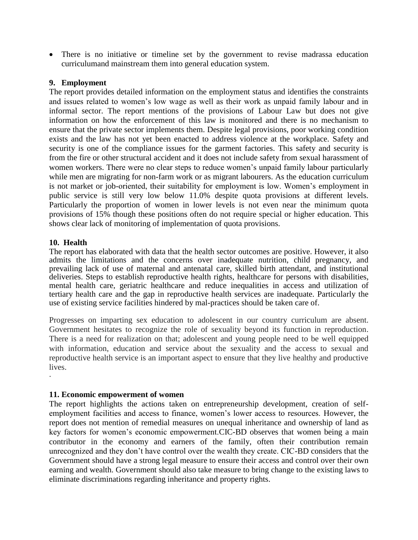There is no initiative or timeline set by the government to revise madrassa education curriculumand mainstream them into general education system.

#### **9. Employment**

The report provides detailed information on the employment status and identifies the constraints and issues related to women's low wage as well as their work as unpaid family labour and in informal sector. The report mentions of the provisions of Labour Law but does not give information on how the enforcement of this law is monitored and there is no mechanism to ensure that the private sector implements them. Despite legal provisions, poor working condition exists and the law has not yet been enacted to address violence at the workplace. Safety and security is one of the compliance issues for the garment factories. This safety and security is from the fire or other structural accident and it does not include safety from sexual harassment of women workers. There were no clear steps to reduce women's unpaid family labour particularly while men are migrating for non-farm work or as migrant labourers. As the education curriculum is not market or job-oriented, their suitability for employment is low. Women's employment in public service is still very low below 11.0% despite quota provisions at different levels. Particularly the proportion of women in lower levels is not even near the minimum quota provisions of 15% though these positions often do not require special or higher education. This shows clear lack of monitoring of implementation of quota provisions.

#### **10. Health**

·

The report has elaborated with data that the health sector outcomes are positive. However, it also admits the limitations and the concerns over inadequate nutrition, child pregnancy, and prevailing lack of use of maternal and antenatal care, skilled birth attendant, and institutional deliveries. Steps to establish reproductive health rights, healthcare for persons with disabilities, mental health care, geriatric healthcare and reduce inequalities in access and utilization of tertiary health care and the gap in reproductive health services are inadequate. Particularly the use of existing service facilities hindered by mal-practices should be taken care of.

Progresses on imparting sex education to adolescent in our country curriculum are absent. Government hesitates to recognize the role of sexuality beyond its function in reproduction. There is a need for realization on that; adolescent and young people need to be well equipped with information, education and service about the sexuality and the access to sexual and reproductive health service is an important aspect to ensure that they live healthy and productive lives.

#### **11. Economic empowerment of women**

The report highlights the actions taken on entrepreneurship development, creation of selfemployment facilities and access to finance, women's lower access to resources. However, the report does not mention of remedial measures on unequal inheritance and ownership of land as key factors for women's economic empowerment.CIC-BD observes that women being a main contributor in the economy and earners of the family, often their contribution remain unrecognized and they don't have control over the wealth they create. CIC-BD considers that the Government should have a strong legal measure to ensure their access and control over their own earning and wealth. Government should also take measure to bring change to the existing laws to eliminate discriminations regarding inheritance and property rights.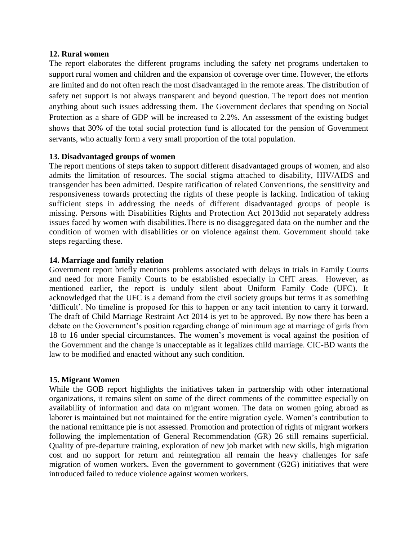#### **12. Rural women**

The report elaborates the different programs including the safety net programs undertaken to support rural women and children and the expansion of coverage over time. However, the efforts are limited and do not often reach the most disadvantaged in the remote areas. The distribution of safety net support is not always transparent and beyond question. The report does not mention anything about such issues addressing them. The Government declares that spending on Social Protection as a share of GDP will be increased to 2.2%. An assessment of the existing budget shows that 30% of the total social protection fund is allocated for the pension of Government servants, who actually form a very small proportion of the total population.

#### **13. Disadvantaged groups of women**

The report mentions of steps taken to support different disadvantaged groups of women, and also admits the limitation of resources. The social stigma attached to disability, HIV/AIDS and transgender has been admitted. Despite ratification of related Conventions, the sensitivity and responsiveness towards protecting the rights of these people is lacking. Indication of taking sufficient steps in addressing the needs of different disadvantaged groups of people is missing. Persons with Disabilities Rights and Protection Act 2013did not separately address issues faced by women with disabilities.There is no disaggregated data on the number and the condition of women with disabilities or on violence against them. Government should take steps regarding these.

#### **14. Marriage and family relation**

Government report briefly mentions problems associated with delays in trials in Family Courts and need for more Family Courts to be established especially in CHT areas. However, as mentioned earlier, the report is unduly silent about Uniform Family Code (UFC). It acknowledged that the UFC is a demand from the civil society groups but terms it as something 'difficult'. No timeline is proposed for this to happen or any tacit intention to carry it forward. The draft of Child Marriage Restraint Act 2014 is yet to be approved. By now there has been a debate on the Government's position regarding change of minimum age at marriage of girls from 18 to 16 under special circumstances. The women's movement is vocal against the position of the Government and the change is unacceptable as it legalizes child marriage. CIC-BD wants the law to be modified and enacted without any such condition.

#### **15. Migrant Women**

While the GOB report highlights the initiatives taken in partnership with other international organizations, it remains silent on some of the direct comments of the committee especially on availability of information and data on migrant women. The data on women going abroad as laborer is maintained but not maintained for the entire migration cycle. Women's contribution to the national remittance pie is not assessed. Promotion and protection of rights of migrant workers following the implementation of General Recommendation (GR) 26 still remains superficial. Quality of pre-departure training, exploration of new job market with new skills, high migration cost and no support for return and reintegration all remain the heavy challenges for safe migration of women workers. Even the government to government (G2G) initiatives that were introduced failed to reduce violence against women workers.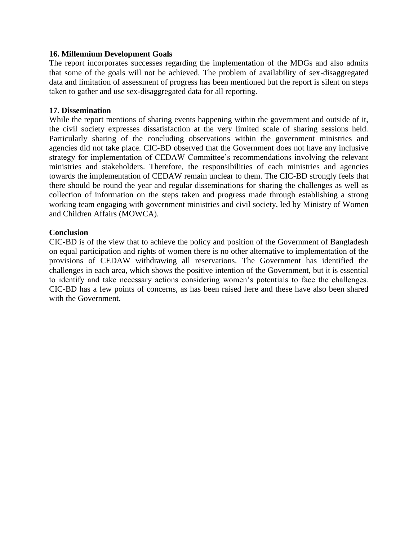#### **16. Millennium Development Goals**

The report incorporates successes regarding the implementation of the MDGs and also admits that some of the goals will not be achieved. The problem of availability of sex-disaggregated data and limitation of assessment of progress has been mentioned but the report is silent on steps taken to gather and use sex-disaggregated data for all reporting.

#### **17. Dissemination**

While the report mentions of sharing events happening within the government and outside of it, the civil society expresses dissatisfaction at the very limited scale of sharing sessions held. Particularly sharing of the concluding observations within the government ministries and agencies did not take place. CIC-BD observed that the Government does not have any inclusive strategy for implementation of CEDAW Committee's recommendations involving the relevant ministries and stakeholders. Therefore, the responsibilities of each ministries and agencies towards the implementation of CEDAW remain unclear to them. The CIC-BD strongly feels that there should be round the year and regular disseminations for sharing the challenges as well as collection of information on the steps taken and progress made through establishing a strong working team engaging with government ministries and civil society, led by Ministry of Women and Children Affairs (MOWCA).

#### **Conclusion**

CIC-BD is of the view that to achieve the policy and position of the Government of Bangladesh on equal participation and rights of women there is no other alternative to implementation of the provisions of CEDAW withdrawing all reservations. The Government has identified the challenges in each area, which shows the positive intention of the Government, but it is essential to identify and take necessary actions considering women's potentials to face the challenges. CIC-BD has a few points of concerns, as has been raised here and these have also been shared with the Government.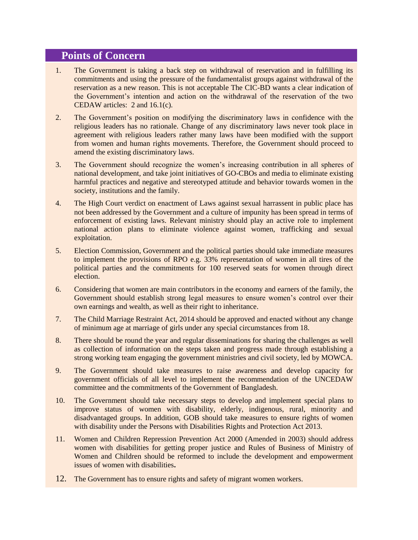# **Points of Concern**

- 1. The Government is taking a back step on withdrawal of reservation and in fulfilling its commitments and using the pressure of the fundamentalist groups against withdrawal of the reservation as a new reason. This is not acceptable The CIC-BD wants a clear indication of the Government's intention and action on the withdrawal of the reservation of the two CEDAW articles: 2 and 16.1(c).
- 2. The Government's position on modifying the discriminatory laws in confidence with the religious leaders has no rationale. Change of any discriminatory laws never took place in agreement with religious leaders rather many laws have been modified with the support from women and human rights movements. Therefore, the Government should proceed to amend the existing discriminatory laws.
- 3. The Government should recognize the women's increasing contribution in all spheres of national development, and take joint initiatives of GO-CBOs and media to eliminate existing harmful practices and negative and stereotyped attitude and behavior towards women in the society, institutions and the family.
- 4. The High Court verdict on enactment of Laws against sexual harrassent in public place has not been addressed by the Government and a culture of impunity has been spread in terms of enforcement of existing laws. Relevant ministry should play an active role to implement national action plans to eliminate violence against women, trafficking and sexual exploitation.
- 5. Election Commission, Government and the political parties should take immediate measures to implement the provisions of RPO e.g. 33% representation of women in all tires of the political parties and the commitments for 100 reserved seats for women through direct election.
- 6. Considering that women are main contributors in the economy and earners of the family, the Government should establish strong legal measures to ensure women's control over their own earnings and wealth, as well as their right to inheritance.
- 7. The Child Marriage Restraint Act, 2014 should be approved and enacted without any change of minimum age at marriage of girls under any special circumstances from 18.
- 8. There should be round the year and regular disseminations for sharing the challenges as well as collection of information on the steps taken and progress made through establishing a strong working team engaging the government ministries and civil society, led by MOWCA.
- 9. The Government should take measures to raise awareness and develop capacity for government officials of all level to implement the recommendation of the UNCEDAW committee and the commitments of the Government of Bangladesh.
- 10. The Government should take necessary steps to develop and implement special plans to improve status of women with disability, elderly, indigenous, rural, minority and disadvantaged groups. In addition, GOB should take measures to ensure rights of women with disability under the Persons with Disabilities Rights and Protection Act 2013.
- 11. Women and Children Repression Prevention Act 2000 (Amended in 2003) should address women with disabilities for getting proper justice and Rules of Business of Ministry of Women and Children should be reformed to include the development and empowerment issues of women with disabilities**.**
- 12. The Government has to ensure rights and safety of migrant women workers.